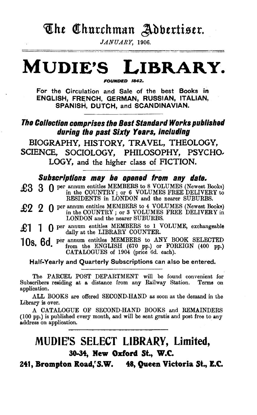# The Churchman Adbertiser.

JANUARY, 1906.

# **MUDIE'S LIBRARY.**

FOUNDED 1842.

For the Circulation and Sale of the best Books in ENGLISH, FRENCH, GERMAN, RUSSIAN, ITALIAN, SPANISH, DUTCH, and SCANDINAVIAN.

### The Collection comprises the Best Standard Works published during the past Sixty Years, including

BIOGRAPHY, HISTORY, TRAVEL, THEOLOGY, SCIENCE, SOCIOLOGY, PHILOSOPHY, PSYCHO, LOGY, and the higher class of FICTION.

### Subscriptions may be opened from any date.

£3 3 0 per annum entitles MEMBERS to 8 VOLUMES (Newest Books) in the COUNTRY; or 6 VOLUMES FREE DELIVERY to RESIDENTS in LONDON and the nearer SUBURBS.

 $\overline{27}$   $\overline{20}$   $\overline{20}$  per annum entitles MEMBERS to 4 VOLUMES (Newest Books) in the COUNTRY; or 3 VOLUMES FREE DELIVERY in LONDON and the nearer SUBURBS.

£1 1 0 per annum entitles MEMBERS to 1 VOLUME, exchangeable daily at the LIBRARY COUNTER.

108. 6d. per annum entitles MEMBERS to ANY BOOK SELECTED from the ENGLISH (670 pp.) or FOREIGN (400 pp.) CATALOGUES of 1904 (price 6d. each).

Half-Yearly and Quarterly Subscriptions can also be entered.

The PARCEL POST DEPARTMENT will be found convenient for cribers residing at a distance from any Railway Station. Terms on Subscribers residing at a distance from any Railway Station. application.

ALL BOOKS are offered SECOND-HAND as soon as the demand in the Library is over.

A CATALOGUE OF SECOND-HAND BOOKS and REMAINDERS (100 pp.) is published every month, and will be sent gratis and post free to any address on application.

## MUDIE'S SELECT LIBRARY, Limited, 30-34, New Oxford St., W.C.

241, Brompton Road,'S.W. 48, Queen Victoria St., E.C.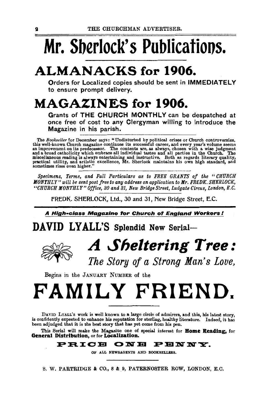# **Mr. Sberlock' s Publicatioos.**

# **ALMANACKS for 1906.**

Orders for Localized copies should be sent in IMMEDIATELY to ensure prompt delivery.

# **MAGAZINES for 1906.**

Grants of THE CHURCH MONTHLY can be despatched at once free of cost to any Clergyman willing to introduce the Magazine in his parish.

The Bookseller for December says: "Undisturbed by political crises or Church controversies, this well-known Church magazine continues its successful career, and every year's volume seems an improvement on its predecessor.

*Specimens, Terms, and Full Particulars as to FREE GRANTS of the "CHURCH MONTHLY" will be sent post free to any address on application to Mr. FREDK. SHERLOCK, "CHURCH MONTHLY" Office, 80 and 81, New Bridge Street, Ludgate Circus, London, E. C.* 

FREDK. SHERLOCK, Ltd., 30 and 31, New Bridge Street, E.C.

A High-class Magazine for Church of England Workers!

DAVID LYALL'S Splendid New Serial-



# *A Sheltering Tree:*

*The Story of a Strong Man's Love,* 

Begins in the JANUARY NuMBER of the

# **FAMILY FRIEND.**

DAVID LYALL's work is well known to a large circle of admirers, and this, his latest story, is confidently expected to enhance his reputation for sterling, healthy literature. Indeed, it has been adjudged that it is the best story that has yet come from his pen.

This Serial will make the Magaziue one of special interest for Home Reading, for General Distribution, or for Localization.

### PRICE ONE PENNY.

OF ALL NEWSAGENTS AND BOOKSELLERS.

S. W. PARTRIDGE & CO., 8 & 9, PATERNOSTER ROW, LONDON, E.C.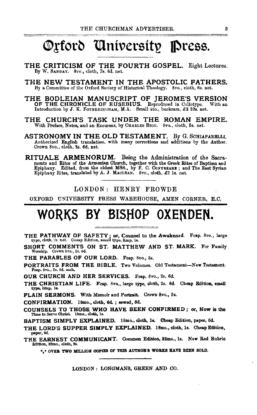# Orford University Press.

- THE CRITICISM OF THE FOURTH GOSPEL. Eight Lectures. By W. SANDAY. 8vo., cloth, 7s. 6d. net.
- THE NEW TESTAMENT IN THE APOSTOLIC FATHERS. By a Committee of the Oxford Society of Historical Theology. 8vo., cloth, 6s. net.
- THE BODLEIAN MANUSCRIPT OF JEROME'S VERSION OF THE CHRONICLE OF EUSEBIUS. Reproduced in Collotype. With an Introduction by J. K. FOTHERINGHAM, M.A. Small 4to., buckram, £2 10a. net.
- THE CHURCH'S TASK UNDER THE ROMAN EMPIRE. With Preface. Notes, and an Excursus, by CHARLES BIGG. 8vo., cloth, 5s. net.
- ASTRONOMY IN THE OLD TESTAMENT. By G. SCHIAPARELLI. Authorized English translation, with many corrections and additions by the Author. Crown 8vo., cloth, 3s. 6d. net.
- RITUALE ARMENORUM. Being the Administration of the Sacra-<br>ments and Rites of the Armenian Church, together with the Greek Rites of Baptism and Epiphany. Edited, from the oldest MSS., by F. C. CONYBEARE; and The East Syrian Epiphany Rites, translated by A. J. MACLEAN. 8vo., cloth, £1 1s. net.

#### LONDON: HENRY FROWDE

OXFORD UNIVERSITY PRESS WAREHOUSE, AMEN CORNER, E.C.

# WORKS BY BISHOP OXENDEN.

- THE PATHWAY OF SAFETY; or, Counsel to the Awakened. Fcap. 8vo., large type, eloth, 2s. net. Caeap Edition, small type, limp, 1s.
- SHORT COMMENTS ON ST. MATTHEW AND ST. MARK. For Family Worship. Crown 8vo., 2s. 6d.

THE PARABLES OF OUR LORD. Feap. 8vo., 3s.

PORTRAITS FROM THE BIBLE. Two Volumes. Old Testament-New Testament. Fcap. 8vo., 29. 6d. each.

OUR CHURCH AND HER SERVICES. Feap. 8vo., 2s. 6d.

THE CHRISTIAN LIFE. Fcap. 8vo., large type, cloth, 2s. 6d. Cheap Edition, small type, limp, 1s.

PLAIN SERMONS. With Memoir and Portrait. Crown 8vo., 5s.

CONFIRMATION. 18mo., cloth, 6d.; sewed, 3d.

COUNSELS TO THOSE WHO HAVE BEEN CONFIRMED; or, Now is the Time to Serve Christ. 18mo., cloth, 1s.

BAPTISM SIMPLY EXPLAINED. 18mo., cloth, 1s. Cheap Edition, paper, 6d.

THE LORD'S SUPPER SIMPLY EXPLAINED. 18mo., cloth, 1s. Cheap Edition, psper, 6d.

THE EARNEST COMMUNICANT. Common Edition, 32mo., 1s. New Red Rubric Edition, 32mo., cloth, 2s.

\*\* OVER TWO MILLION COPIES OF THIS AUTHOR'S WORKS HAVE BEEN SOLD.

LONDON: LONGMANS, GREEN AND CO.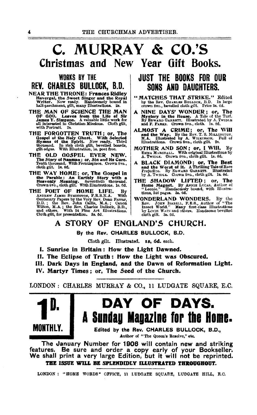# C. MURRAY & CO.'S Christmas and New Year Gift Books.

### WORKS BY THE REV. CHARLES BULLOCK, B.D.

- **NEAR THE THRONE: Frances Ridley** Havergal, the Sweet Singer and the Royal Writer. Now ready. Handsonely bound in half-parchment, gilt, many Illustrations. 2s.
- THE MAN OF SCIENCE THE MAN 1711 1811 1812 1812 1812 1812 1814 1815 1816 1817<br>James Y. Simpson. A valuable little work for all interested in Christian Missions. Cloth gilt, with Portrait. 2s.
- THE FORGOTTEN TRUTH; or, The Gospel of the Holy Ghost. With Selected Hymns of the Spirit. Now ready. Third thousand. In rich cloth glit boards, glit edges. With Illustration, ls. post free.
- IE OLD GOSPEL EVER NEW.<br>The Story of Nasman ; or, Sin and its Cure.<br>Tenth thousand. With Frontisplece. Crown 8vo.,<br>cloth gilt. 1s, 6d. THE OLD
- THE WAY HOME; or, The Gospel in<br>the Parable: An Earthly Story with a<br>Heavenly Meaning. Seventieth thousand.<br>Crown svo., cloth gilt. With Illustrations. 1s. 6d.
- THE POET OF HOME LIFE.  $B<sub>y</sub>$ IE POET OF HOME LIPE. By ARRIVING THE SAMPLEW JAMES SYMPOON, F.R.S.N.A. With Centenary Papers by the Very Rev. Dean Farrar, Wilton, M.A. ; the Rev. John Callis, M.A. ; Canon China Richard Chers. With 24 Fine Art Illustrati Cloth gilt, for presentation. 3s. 6d.

### **JUST THE BOOKS FOR OUR** SONS AND DAUCHTERS.

- " MATCHES THAT STRIKE." Edited<br>by the Rev. CHARLES BULLOCK, B.D. In large<br>crown 8vo., bevelled cloth gilt. Price 3s. 6d.
- A NINE DAYS' WONDER; or, The Mystery in the House. A Tale of the Turf.<br>By EDWARD GARRETT. Illustrated by A. TwipLER<br>and F. PARES. Crown 8vo., cloth. 1s. 6d.
- ALMOST A CRIME; or, The Will<br>and the Way. By the Rev. T. S. MILLINGTON,<br>M.A. Hilustrated by A. WILKINSON. Full of<br>Hilustrations. Crown 8vo., cloth gilt. 2s.
- MOTHER AND SON; or, I Will. By EMMA MARSHALL. With original Illustrations by A. TWIDLE. Orown 8vo., cloth gilt. 1s. 6d.
- A BLACK DIAMOND; or, The Best<br>and the Worst of it. A Thrilling Tale of Race<br>Prejudice. By EDWARD GARRETT. Illustrated<br>by A. Twinte. Crown 8vo., cloth gilt. 1s. 6d.
- THE SHADOW LIFTED; or, The Home Magnet. By ANNIE LUCAS, Author of "Leonie." Handsomely bound, with Illustrations, 346 pages. 3s. 6d.
- VIVE ENLAND WONDERS. By the Rov. JOHN ISABELL, F.E.S., Author of "The Insect World." Many first-class Illustrations by Louis WAIN and others. Handsome bevelled cloth gilt. 3s. 6d. WONDERLAND WONDERS.

### A STORY OF ENGLAND'S CHURCH.

By the Rev. CHARLES BULLOCK, B.D.

Cloth gilt. Illustrated. 18, 6d. each.

- I. Sunrise in Britain: How the Light Dawned.
- II. The Eclipse of Truth: How the Light was Obscured.
- III. Dark Days in England, and the Dawn of Reformation Light.
- IV. Martyr Times; or, The Seed of the Church.

LONDON: CHARLES MURRAY & CO., 11 LUDGATE SQUARE, E.C.



# DAY OF DAYS. A Sunday Magazine for the Home.

Edited by the Rev. CHARLES BULLOCK, B.D., Author of "The Queen's Resolve," etc.

The January Number for 1906 will contain new and striking features. Be sure and order a copy early of your Bookseller. We shall print a very large Edition, but it will not be reprinted. THE ISSUE WILL BE SPLENDIDLY ILLUSTRATED THROUGHOUT.

LONDON : "HOME WORDS" OFFICE, 11 LUDGATE SQUARE, LUDGATE HILL, F.C.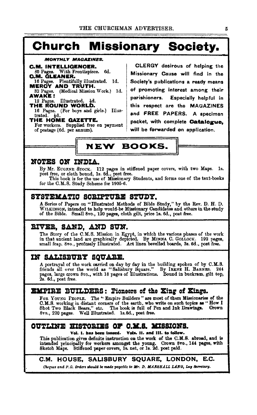# **Church Missionary Society.**

**MONTHLY MAGAZINES.** 

**C.M. INTELLIGENCER.**<br>30 Pages. With Frontispiece. 6d. **O.M. GLEANER.** 16 Pages. Plentifully illustrated. Id. MEROY AND TRUTH. 32 Pages. (Medical Mission Work.) 1d.<br>**AWAKE !** 

**AWATH.**<br>12 Pages. Illustrated. 3d.<br>THE ROUND WORLD.<br>16 Pages. (For boys and girls.) Illustrated. Hd. THE HOME GAZETTE.

For workers. Supplied free on payment of postage (6d. per annum).

CLERGY desirous of helping the Missionary Cause will find in the Society's publications a ready means of promoting interest among their Especially helpful in parishioners. this respect are the MAGAZINES and FREE PAPERS. A specimen packet, with complete **Catalogue**. will be forwarded on application.

## **NEW BOOKS.**

### NOTES ON INDIA.

By Mr. EUGENE STOCK. 112 pages in stiffened paper covers, with two Maps. 1s. post free, or cloth bound, 1s. 6d., post free. This book is for the use of Missionary Students, and forms one of the text-books

for the C.M.S. Study Scheme for 1905-6.

### SYSTEMATIC SCRIPTURE STUDY.

A Series of Papers on "Illustrated Methods of Bible Study," by the Rev. D. H. D. WILKINSON, intended to help would-be Missionary Candidates and others in the study of the Bible. Small 8vo., 120 pages, cloth gilt, price 1s. 6d., post free.

### RIVER, SAND, AND SUN.

The Story of the C.M.S. Mission in Egypt, in which the various phases of the work in that ancient land are graphically depicted. By MINNA C. GOLLOCK. 192 pages, small fcap. 8vo., profusely Illustrated. Art linen bevelled b

### IN SALISBURY SQUARE.

A portrayal of the work carried on day by day in the building spoken of by C.M.S. friends all over the world as "Salisbury Square." By IRENE H. BARNES. 244 pages, large crown 8vo., with 18 pages of Illustrations. Bound in buckram, gilt top, 2s. 6d., post free.

### **EMPIRE BUILDERS: Pioneers of the King of Kings.**

FOR YOUNG PEOPLE. The "Empire Builders" are most of them Missionaries of the O.M.S. working in distant corners of the earth, who write on such topics as "How I Shot Two Black Bears," etc. The book is full of Pen and Ink Drawings. Crown 8vo., 220 pages. Well Illustrated. 1s.6d., post free.

### OUTLINE HISTORIES OF C.M.S. MISSIONS.

#### Vols. II. and III. to follow. Vol. 1. has been issued.

This publication gives definite instruction on the work of the C.M.S. abroad, and is intended principally for workers amongst the young. Crown 8vo., 144 pages, with Sketch Maps. Stiffened paper covers, 1s. net, or 1s. 2d. post paid.

### C.M. HOUSE, SALISBURY SQUARE, LONDON, E.C.

Cheques and P.O. Orders should be made payable to Mr. D. MARSHALL LANG, Lay Secretary.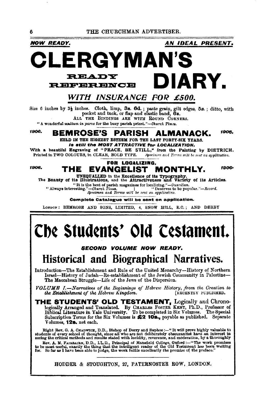**NOW READY.** 

AN IDEAL PRESENT.

1906-

## RGYMAN **READY** IARY. **REFERENCE**

### WITH INSURANCE FOR £500.

thes. Cloth, limp, 3s. 6d.; paste grain, gilt edges, 5s.; ditto, with pocket and tuck, or flap and elastic band, 6s. Size 6 inches by  $3\frac{1}{2}$  inches. ALL THE BINDINGS ARE WITH ROUND CORNERS.

" A wonderful multum in parve for the busy parish priest."-Church Times.

#### 1906, 1906. BEMROSE'S PARISH ALMANACK.

HELD IN THE HIGHEST ESTEEM FOR THE LAST FORTY-SIX YEARS. Is still the MOST ATTRACTIVE for LOCALIZATION.

With a beautiful Engraving of "PEACE, BE STILL," from the Painting by DIETRICH. Printed in TWO COLOURS, in CLEAR, BOLD TYPE. Specimen and Terms will be sent on application.

#### 1906.

#### **FOR LOCALIZING.** THE EVANGELIST MONTHLY.

UNEQUALLED in the Excellence of its Typography,<br>The Beauty of its Illustrations, and the Attractiveness and Variety of its Articles.

"This the best of parts magazines for localizing."-Cuardian.<br>"It is the best of partsh magazines for localizing."-Cuardian.<br>resting."-Church Times. [1] "Deserves to be popular."-Record. " Always interesting." Specimen and Terms will be sent on application.

Complete Catalogue will be sent on application.

LONDON: BEMROSE AND SONS, LIMITED, 4, SNOW HILL, E.C.; AND DERBY

# **Che Students' Old Cestament.**

### **SECOND VOLUME NOW READY.**

## Historical and Biographical Narratives.

Introduction-The Establishment and Rule of the United Monarchy-History of Northern Israel-History of Judah-Re-establishment of the Jewish Community in Palestine-The Maccabean Struggle-Life of the Jews of the Dispersion.

VOLUME I.-Narratives of the Beginnings of Hebrew History, from the Creation to the Establishment of the Hebrew Kingdom. [RECENTLY PUBLISHED.

THE STUDENTS' OLD TESTAMENT, Logically and Chronologically Arranged and Translated. By CHARLES FOSTER KENT, Ph.D., Professor of Biblical Literature in Yale University. To be completed in Six Volumes. The Special Subscription Terms for the Six Volumes is  $\&2$  10s., payable as published. Separate Volumes, 128, net each.

Right Rev. G. A. CHADWICK, D.D., Bishop of Derry and Raphoe :--" It will prove highly valuable to students of every school of thought, since all who are not deliberately obscurantist have an interest in seeing the critical Rev. A. M. FAIRBAIRN, D.D., LL.D., Principal of Manafield College, Oxford:--"The work promises<br>to be most useful, exactly the thing that the intelligent reader of the Old Testament has been watting<br>for. So far as I have be

HODDER & STOUGHTON, 27, PATERNOSTER ROW, LONDON.

6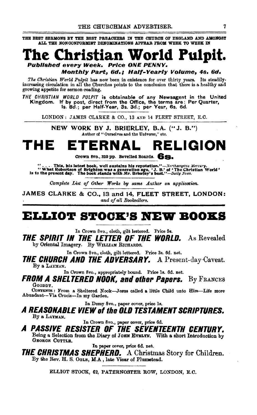THE BEST SERMONS BY THE BEST PREACHERS IN THE CHURCH OF ENGLAND AND AMONGST ALL THE NONCONFORMIST DENOMINATIONS APPEAR FROM WEEK TO WEEK IN



Monthly Part, 6d.: Half-Yearly Volume, 4s, 6d,

The Christian World Pulpit has now been in existence for over thirty years. Its steadilyincreasing circulation in all the Churches points to the conclusion that there is a healthy and growing appetite for sermon-reading.

THE CHRISTIAN WORLD PULPIT is obtainable of any Newsagent in the United<br>Kingdom. If by post, direct from the Office, the terms are: Per Quarter,<br>1s. 8d.; per Half-Year, 3s. 3d.; per Year, 6s. 6d.

LONDON: JAMES CLARKE & CO., 13 AND 14 FLEET STREET, E.C.

NEW WORK BY J. BRIERLEY, B.A. ("J. B.") Author of "Ourselves and the Universe," etc.

#### тне TERNAI **RELIGION**

Crown 8vo., 320 pp. Bevelled Boards. 6852.

"... This, his latest book, well sustains his reputation."—Northampton Mercury.<br>"What Robertson of Brighton was a generation ago, 'J. B.' of 'The Christian World'<br>is to the present day. The book stands with Mr. Brierley's

Complete List of Other Works by same Author on application.

JAMES CLARKE & CO., 13 and 14, FLEET STREET, LONDON: and of all Booksellers.

### ELLIOT STOCK'S NEW BOOKS

In Crown 8vo., cloth, gilt lettered. Price 5s.

**THE SPIRIT IN THE LETTER OF THE WORLD.** As Revealed by Oriental Imagery. By WILLIAM RICHARDS.

In Crown 8vo., cloth, gilt lettered. Price 3s. 6d. net.

**THE CHURCH AND THE ADVERSARY.** A Present-day-Caveat. By a LAYMAN.

In Crown 8vo., appropriately bound. Price 1s. 6d. net.

**FROM A SHELTERED NOOK, and other Papers.** By Frances GOODDY.

CONTENTS : From a Sheltered Nook-Jesus called a little Child unto Him-Life more Abundant-Via Crucis-In my Garden.

In Demy 8vo., paper cover, price 1s.

A REASONABLE VIEW of the OLD TESTAMENT SCRIPTURES. By a LAYMAN.

In Crown 8vo., paper cover, price 6d.

A PASSIVE RESISTER OF THE SEVENTEENTH CENTURY. Being a Selection from the Diary of Jonn EVELYN. With a short Introduction by GEORGE CUTTLE.

In paper cover, price 6d. net.

**THE CHRISTMAS SHEPHERD.** A Christmas Story for Children. By the Rev. H. S. OGLE, M.A., late Vicar of Plumstead.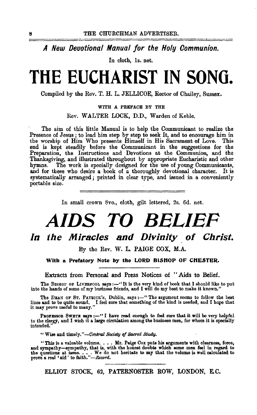*A New Deuotional Manual for the Holy Communion.* 

In cloth, ls. net.

# **THE EUCHARIST IN SONO.**

Compiled by the Rev. T. H. L. JELLICOE, Rector of Chailey, Sussex.

#### WITH A PREFACE BY THE

Rev. WALTER LOCK, D.D., Warden of Keble.

The aim of this little Manual is to help the Communicant to realize the Presence of Jesus ; to lead him step by step to seek It, and to encourage him in the worship of Him Who presents Himself in His Sacrament of Love. This end is kept steadily before the Communicant in the suggestions for the Preparation, the Instructions and Devotions at the Communion, and the Thanksgiving, and illustrated throughout by appropriate Eucharistic and other The work is specially designed for the use of young Communicants, and for these who desire a book of a thoroughly devotional character. It is systematically arranged ; printed in clear type, and issued in a conveniently portable size. .

In small crown 8vo., cloth, gilt lettered, 2s. 6d. net.

# *AIDS TO BELIEF*

### **In the Miracles and Divinity of Christ.**

By the Rev. W. L. PAIGE COX, M.A.

With a Prefatory Note by the LORD BISHOP OF CHESTER.

Extracts from Personal and Press Notices of "Aids to Belief.

The BISHOP OF LIVERPOOL says:---''It is the very kind of book that I should like to put into the hands of some of my business friends, and I will do my best to make it known."

The DEAN OF ST. PATBICK's, Dublin, says :-- "The argument seems to follow the best lines and to be quite sound. I feel sure that something of the kind is needed, and I hope that it may prove useful to many."

PROFESSOB SWETE says :- "I have read enough to feel sure that it will be very helpful to the clergy, and I wish it a large circulation among the business men, for whom it is speclAlly intended."

" Wise and timely."-Central Society of Sacred Study.

"This is a valuable volume.  $\ldots$  Mr. Paige Cox puts his arguments with clearness, force, and sympathy-sympathy, that is, with the honest doubts which some men feel in regard to and sympathy—sympathy, that is, with the honest doubts which some men feel in regard to the questions at issue. . . . We do not hesitate to say that the volume is well calculated to prove a real 'aid ' to faith."—*Record*.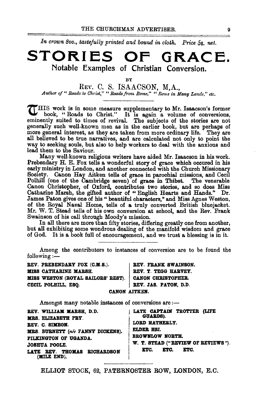In crown 8vo., tastefully printed and bound in cloth. Price 5s. net.

## **STORIES OF GRACE.**  Notable Examples of Christian Conversion.

BY

REV. C. S. ISAACSON, M.A., Author of " Roads to Christ," " Roads from Rome," " Rome in Many Lands," etc.

UHIS work is in some measure supplementary to Mr. Isaacson's former book, "Roads to Christ." It is again a volume of conversions, eminently suited to times of revival. The subjects of the stories are not generally such well-known men as in the earlier book, but are perhaps of more general interest, as they are taken from more ordinary life. They are all believed to be true narratives, and are calculated not only to point the way to seeking souls, but also to help workers to deal with the anxious and lead them to the Saviour.

Many well· known religious writers have aided Mr. Isaacson in his work. Prebendary H. E. Fox tells a wonderful story of grace which occured in his early ministry in London, and another connected with the Church Missionary Society. Canon Hay Aitken tells of grace in parochial missions, and Cecil Polhill (one of the Cambridge seven) of grace in Thibet. Canon Christopher, of Oxford, contributes two stories, and so does Miss Catharine Marsh, the gifted author of "English Hearts and Hands." Dr. James Paton gives one of his" beautiful characters," and Miss Agnes Weston, of the Royal Naval Home, tells of a truly converted British bluejacket. Mr. W. T. Stead tells of his own conversion at school, and the Rev. Frank Swainson of his call through Moody's mission.

In all there are more than fifty stories, differing greatly one from another, but all exhibiting some wondrous dealing of the manifold wisdom and grace of God. It is a book full of encouragement, and we trust a blessing is in it.

Among the contributors to instances of conversion are to be found the following  $:=$ 

REV. PREBENDARY FOX (C.M.S.). | REV. FRANK SWAINSON. MISS CATHARINE MARSH. REV. T. TEGG HARVEY. MISS WESTON (ROYAL SAILORS' REST). CANON CHRISTOPHER. CECIL POLHILL, ESQ. REV. JAS. PATON, D.D. CANON AITKEN.

Amongst many notable instances of conversions are  $:$ 

| REV. WILLIAM MARSH, D.D.<br>MRS. ELIZABETH FRY.<br>REV. C. SIMEON.<br>MRS. BURNETT (née FANNY DICKENS).<br>PILKINGTON OF UGANDA.<br><b>JOSHUA POOLE.</b><br>LATE REV. THOMAS RICHARDSON<br>(MILE END). | LATE CAPTAIN TROTTER (LIFE<br><b>GUARDS).</b><br>LORD HATHERLY.<br>ELDER HSI.<br><b>BROWNLOW NORTH.</b><br>W. T. STEAD ("REVIEW OF REVIEWS").<br>ETC.<br>ETC.<br>ETC. |
|--------------------------------------------------------------------------------------------------------------------------------------------------------------------------------------------------------|-----------------------------------------------------------------------------------------------------------------------------------------------------------------------|
|--------------------------------------------------------------------------------------------------------------------------------------------------------------------------------------------------------|-----------------------------------------------------------------------------------------------------------------------------------------------------------------------|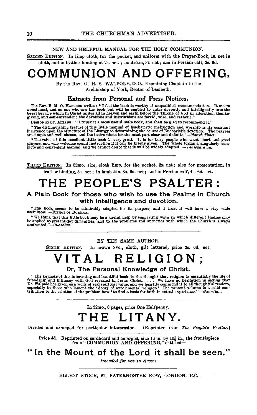#### NEW AND HELPFUL MANUAL FOR THE HOLY COMMUNION.

SECOND EDITION. In limp cloth, for the pocket, and uniform with the Prayer-Book, ls. net **ia**  cloth, and in leather binding at 2s. net. ; lambskin, 3s. net; and in Persian calf, 3s. 6d.

## **COMMUNION AND OFFERING.**

By the Rev. G. H. S. WALPOLE, D.D., Examining Chaplain to the Archbishop of York, Rector of Lambeth.

#### **Extracts from Personal and Press Notices.**

The Rev. B. M. O. HANCOCK writes: "I feel the book is worthy of unqualified recommendation. It meets<br>a real need, and no one who uses the book but will be enabled to enter devoutly and intelligently into the<br>Great Service

BISHOP OF ST. ALBANS : "I think it a most useful little book, and shall be glad to recommend it."<br>"The distinguishing feature of this little manual of Eucharistic instruction and worship is its constant The usually and the Liturgy as determining the course of Eucharistic devotion. The prayers<br>are simple and well chosen, and the instructions for the most part clear and definite."—Church Times.

"The value of this excellent little book is very great. It is for busy people who want short and good prayers, and who welcome sound instruction if it can be briefly given. The whole forms a singularly complete and conveni

THIRD EDITION. In 32mo. size, cloth limp, for the pocket, 2s. net; also for presentation, in leather binding, 3s. net ; in lambskin, 3s. 6d. net ; and in Persian calf, 4s. 6d. net.

# **THE PEOPLE'S PSALTER:**

#### **A Plain Book for those who wish to use the Psalms in Church with intelligence and devotion.**

"The book seems to be admirably adapted for its purpose, and I trust it will have a very wide usefulness."-BrsHOP OF DuRHAM.

"We think that this little book may be a useful help by suggesting ways in which different Psalms may<br>be applied to present-day difficulties, and to the problems and anxieties with which the Church is always<br>confronted."—

#### BY THE SAME AUTHOR.

SIXTH EDITION. In crown 8vo., cloth, gilt lettered, price 2s. 6d. net.

# **VITAL RELIGION** •

' **Or, The Personal Knowledge of Christ.** 

"The keynote of this interesting and beautiful book is the thought that religion is essentially the life of friendship and intimacy with God revealed in Jesus Christ. . . . We have no hesitation in saying that Dr. Walpole

In 32mo., 8 pages, price One Halfpenny.

## **THE LITANY.**

Divided and arranged for particular intercession. (Reprinted from *The People's Psalter.)* 

Price 4d. Reprinted on cardboard and enlarged, size 16 in. by  $10\frac{1}{2}$  in., the frontispiece from "COMMUNION AND OFFERING," entitled—

**"In the Mount of the Lord it shall be seen."** 

*Intended for use in classes.*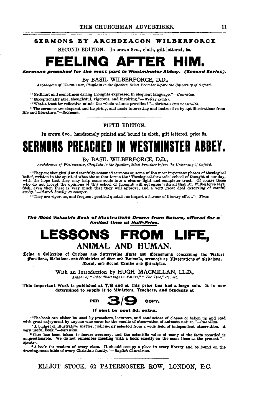#### SERMONS BY ARCHDEACON WILBERFORCE

SECOND EDITION. In crown Svo., cloth, gilt lettered, 5s.

# **FELING AFT**

sermons preached ror the m0\$t *part* In Westminster Abbey. (second Series).

#### By BASIL WILBERFORCE, D,D.,

*Archdeacon of lVestmin&ter, Chaplain to the Speaker, &lect Preacher before tile University of Oxford.* 

" Brilliant and sometimes daring thoughts expressed in eloquent language."-Guardian.

"Exceptionally able, thoughtful, vigorous, and inspiring."-Weekly Leader.

" What a feast for reflective minds the whole volume provides ! *"-Christian Commonwealth.* 

"The sermons are eloquent and inspiring, and made interesting and instructive by apt illustrations from life and literature." *-Bcotaman.* 

FIFTH EDITION.

In crown Svo., handsomely printed and bound in cloth, gilt lettered, price 5s.

# **SERMONS PREACHED II WESTMINSTER ABBEY.**

#### By BASIL WILBERFORCE, D.D.,

 $\Lambda$ rchdeacon of Westminster, Chaplain to the Speaker, *Select Preacher before the University of Oxford.* 

"They are thoughtful and carefully-reasoned sermons on some of the most important phases of theological belief, written in the spirit of what the author terms the "Theological-forwards 'school of thought of our day, with

"They are vigorous, and frequent poetical quotations impart a flavour of literary *efl'ect."-Times.* 

The Most Valuable Book of Illustrations Drawn from Nature, offered for a<br>limited time at Half-Price.

### **LESSONS FROM LIFE,**  ANIMAL AND HUMAN.

Keing a Collection of Curious and Jnteresting Facts and Phenomena concerning the Rature Functions, Relations, and *Ministries* of *Men and Einimals*, arranged as 3IInstrations of Religious, .Moral, anb Social 'ttrutbe anb J)rlnciples.

With an Introduction by HUGH MACMILLAN, LL.D.,<br>*Author of " Bible Teachings in Nature*," " The *Vine*," etc., etc.

This Important Work is published at 7/6 and at this price has had a large sale. It is now



#### If sent by post 5d. extra.

"The book can either be used by preachers, lecturers, and conductors of classes or taken up and read with great enjoyment by anyone who cares for the results of observation of animate nature."-Guardian.

"A budget of illustrative matter, judiciously selected from a wide field of independent observation. A very useful book."—Christian.<br>
very useful book."—Christian.<br>
"Gare has been taken to insure accuracy, and the scientif Speaker.

"A book for readers of every clasa. It should occupy a place in every library, and be found on the drawing-room liable of every Christian *famlly."-Bnglish Churchman.*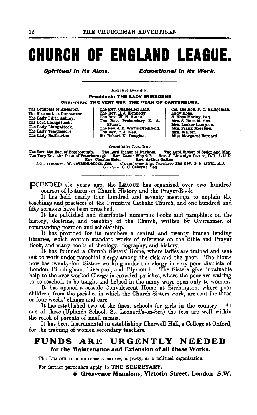# **CHURCH OF ENGLAND LEAGUE.**

**Spiritual in its Aims.** 

**Educational in its Work.** 

**R**reculive Committee:

**President: THE LADY WIMBORNE** Chairman: THE VERY REV. THE DEAN OF CANTERBURY.

The Countess of Ancaster. The Viscountess Duncannon. The Lady Edith Ashley. The Lord Llangattock. The Lady Llangattock. The Lady Templemore. The Lady Hallburton.

The Rev. Chancellor Lias. The Rev. E. J. Kennedy.<br>The Rev. W. H. Stone.<br>The Rev. Prebendary E. A. Stuart. The Rev. J. E. Watts-Ditchfield.<br>The Rev. F. J. Key.<br>Sir Robert K. Douglas.

Col. the Hon. F. C. Bridgeman. Col. the non. F. C. Bring<br>
Lady Hope.<br>
S. Hope Morley, Esq.<br>
Mrs. E. Hope Morley.<br>
Mrs. Locker-Lampson.<br>
Mrs. Frank Morrison.<br>
Mrs. Walter.<br>
Miss Margaret Bernard.

Consultative Committee :

The Rev. the Earl of Bessborough. The Lord Bishop of Durham. The Lord Bishop of Sodor and Man The Very Rev. the Dean of Peterborough. Rev. Clanon Meyrick. Rev. J. Liewelyn Davies, D.D., Litt.D<br>Rev. Charles Hole. Rev. Charl

FOUNDED six years ago, the LEAGUE has organized over two hundred courses of lectures on Church History and the Prayer-Book.

It has held nearly four hundred and seventy meetings to explain the teachings and practices of the Primitive Catholic Church, and one hundred and fifty sermons have been preached.

It has published and distributed numerous books and pamphlets on the history, doctrine, and teaching of the Church, written by Churchmen of commanding position and scholarship.

It has provided for its members a central and twenty branch lending libraries, which contain standard works of reference on the Bible and Prayer

Book, and many books of theology, biography, and history.<br>It has founded a Church Sisters' Home, where ladies are trained and sent out to work under parochial clergy among the sick and the poor. The Home now has twenty-four Sisters working under the clergy in very poor districts of London, Birmingham, Liverpool, and Plymouth. The Sisters give invaluable help to the over-worked Clergy in crowded parishes, where the poor are waiting to be reached, to be taught and helped in the many ways open only to women.

It has opened a seaside Convalescent Home at Birchington, where poor children, from the parishes in which the Church Sisters work, are sent for three or four weeks' change and care.

It has established two of the finest schools for girls in the country. At one of these (Uplands School, St. Leonard's-on-Sea) the fees are well within the reach of parents of small means.

It has been instrumental in establishing Cherwell Hall, a College at Oxford, for the training of women secondary teachers.

#### URGENTLY NEEDED FUNDS ARE for the Maintenance and Extension of all these Works.

The LEAGUE is in no sense a narrow, a party, or a political organization.

For further particulars apply to THE SECRETARY,

6 Grosvenor Mansions, Victoria Street, London S.W.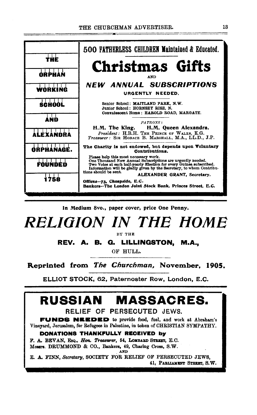

In Medium Svo., paper cover, price One Penny.



BY THE

REV. A. B. G. LILLINGSTON, M.A.,

OF HULL.

Reprinted from *The Churchman,* November, 1905.

ELLIOT STOCK, 62, Paternoster Row, London, E.C.

# **RUSSIAN MASSACRES.**

#### RELIEF OF PERSECUTED JEWS.

FUNDS NEEDED to provide food, fuel, and work at Abraham's Vineyard, Jerusalem, for Refugees in Palestine, in token of CHRISTIAN SYMPATHY.

#### DONATIONS THANKFULLY RECEIVED by

F. A. BEVAN, EsQ., *Hon. Treasurer*, 54, LOMBABD STREET, E.C. Messrs. DRUMMOND & CO., Bankers, 49, Charing Cross, S.W. . AND

E. A. FINN, *Secretary,* SOCIETY FOR RELIEF OF PERSECUTED JEWS, 41, PARLIAMENT STREET, S.W.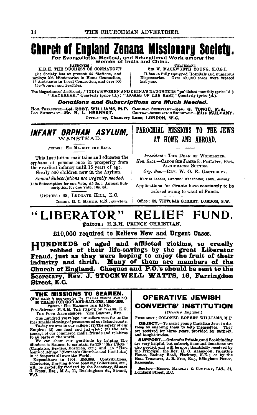# **Church of England Zenana Missionary Society.**

For Evangelistic, Medical, and Educational Work among the Women of India and China.

**ATRONESS** H.R.H. THE DUCHESS OF CONNAUGHT. The Society has at present 65 Stations, and mploys 206 Missionaries in Home Connection, Assistants in Local Connection, and over 900 ble-Women and Teachers.

Снаів<u>ма</u>н SIR W. MACKWORTH YOUNG, K.C.S.I.

It has 14 fully equipped Hospitals and numerous<br>ispensaries. Over 500,000 cases were treated Dispensaries. last year.

The Magazines of the Society, "INDIA'S WOMEN AND CHINA'S DAUGHTERS," published monthly (price 1d.).<br>"DAYBREAK," Quarterly (price 1d.); "HOMES OF THE EAST," Quarterly (price §d.).

Donations and Subscriptions are Much Needed.

HON. TERASUREE-COL. ROBT. WILLIAMS, M.P. CLERICAL SECRETARY-Rev. G. TONGE, M.A.<br>LAY SECRETARY-Mr. H. L. HEBBERT. CERTRAL ASSOCIATION SECRETARY-MISS MULVANY.

OFFICE-27, Chancery Lane, LONDON, W.C.

INFANT ORPHAN ASYLUM. WANSTEAD

Patron: HIS MAJESTY THE KING.

This Institution maintains and educates the orphans of persons once in prosperity from their earliest infancy until 15 years of age.

Nearly 500 children now in the Asylum. Annual Subscriptions are urgently needed.

Life Subscription for one Vote, £5 5s.; Annual Sub-<br>scription for one Vote, 10s. 6d.

OPFICES: 63, LUDGATE HILL, E.C. Commr. H. C. MARTIN, R.N., Secretary.

### PAROCHIAL MISSIONS TO THE JEWS AT HOME AND ABROAD.

President-THE DEAN OF WORCESTER. Hon. Secs.-CANON SIR JAMES E. PHILIPPS. Bart. ARCHDEACON SUTTON.

Org. Sec.-REV. W. O. E. OESTERLEY.

Work in London, Liverpool, Manchester, Leeds, Rombay,

Applications for Grants have constantly to be refused owing to want of Funds.

Office: 39, VICTORIA STREET, LONDON, S.W.

#### LIBERATOR" FUND. RELIEF Datron: H.R.H. PRINCE CHRISTIAN.

£10,000 required to Relieve New and Urgent Cases.

HUNDREDS of aged and afflicted victims, so cruelly robbed of their life-savings by the great Liberator Fraud, just as they were hoping to enjoy the fruit of their industry and thrift. Many of them are members of the Church of England. Cheques and P.O.'s should be sent to the Secretary, Rev. J. STOCKWELL WATTS, 16, Farringdon Street, E.C.

# **THE MISSIONS TO SEAMEN.**<br>(With which is incorporated the Thames Church Mission),<br>50 YEARS FOR GOD AND SAILORS, 1856-1906.<br>Pice-Patrons: H.R.H. THE NAVENTY THE KING.<br>THE FOUR ARCHINERIOPS. THE BISBOPS, B.C.<br>THE FOUR ARCHIN

One hundred years ago our sailors won for us the inestimable blessing of peace around our faland coasts.<br>To-day we over a our sailors won for us the To-day we over to our sailors (1) The safety of our faland cases.<br>Empire One hundred years ago our sailors won for us the

### OPERATIVE JEWISH **CONVERTS' INSTITUTION**

(Church o England.)

PRESIDENT : COLONEL ROBERT WILLIAMS, M.P.

**OBJECT.**-To assist young Christian Jews in distress by enabling them to help themselves. They are received for three years, provided for entirely, and taught trades.

and acquire areas.<br> **SUPPORT.**-Orders for Printing and Bookbinding<br>
are very helpful, but subscriptions and donations are<br>
also needed, and will be most thankfully received by<br>
the Principal, the Rev. H. O. ALLEROOK, Pales Ramsgate.

Bankers-Messrs. BARCLAY & COMPANY, Ltd., 54, Lombard Street, E.C.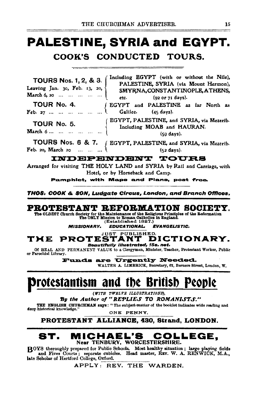# **PALESTINE, SYRIA and EGYPT.** COOK'S CONDUCTED TOURS.

Including EGYPT (with or without the Nile), **TOURS Nos. 1, 2, & 3.** PALESTINE, SYRIA (via Mount Hermon), Leaving Jan. 30, Feb. 13, 20, SMYRNA, CONSTANTINOPLE, ATHENS, March 6, 20 ... ... ... ... ... ... etc. (92 or 71 days). TOUR No. 4. EGYPT and PALESTINE as far North as Feb. 27 ... ... ... ... ... ... 1 Galilee. (45 days). ( EGYPT, PALESTINE, and SYRIA, via Mezerib. TOUR No. 5. Including MOAB and HAURAN. March 6... ... ... ... ... ...  $(50$  days).

**TOURS Nos. 6 & 7.** ( EGYPT, PALESTINE, and SYRIA, via Mezerib. Feb. 20, March 20 ... ... ...  $\cup$  $(52 \text{ days}).$ 

#### **INDEPENDENT TOURS**

Arranged for visiting THE HOLY LAND and SYRIA by Rail and Carriage, with Hotel, or by Horseback and Camp.

Pamphlet, with Maps and Plans, post free.

THOS, COOK & SON, Ludaate Circus, London, and Branch Offices,

### PROTESTANT REFORMATION SOCIETY.

The OLDEST Church Society for the Maintenance of the Religious Principles of the Reformation The ONLY Mission to Roman Catholics in England. (Established 1827.)

**MISSIONARY. EDUCATIONAL. EVANGELISTIC.** 

#### JUST PUBLISHED. **PROTESTANT** DICTIONARY. TME Beautifully lilustrated, 15s. net.

Of REAL AND PERMANENT VALUE to a Clergyman, Minister, Teacher, Protestant Worker, Public or Parochial Library.

> **Funds are Urgently Needed.** WALTER A. LIMBRICK, Secretary, 62, Berners Street, London, W.

Protestantism and the British People

(WITH TWELVE ILLUSTRATIONS),

By the Author of "REPLIES TO ROMANISTS."

THE ENGLISH CHURCHMAN says: "The subject-matter of the booklet indicates wide reading and deep historical knowledge. ONE PENNY.

PROTESTANT ALLIANCE, 430, Strand, LONDON.

#### ST. **MICHAEL'S** COLLEGE. Near TENBURY, WORCESTERSHIRE.

BOYS thoroughly prepared for Public Schools. Most healthy situation; large playing fields and Fives Courts; separate cubicles. Head master, REV. W. A. RENWICK, M.A., late Scholar of Hertford College, Oxford.

APPLY: REV. THE WARDEN.